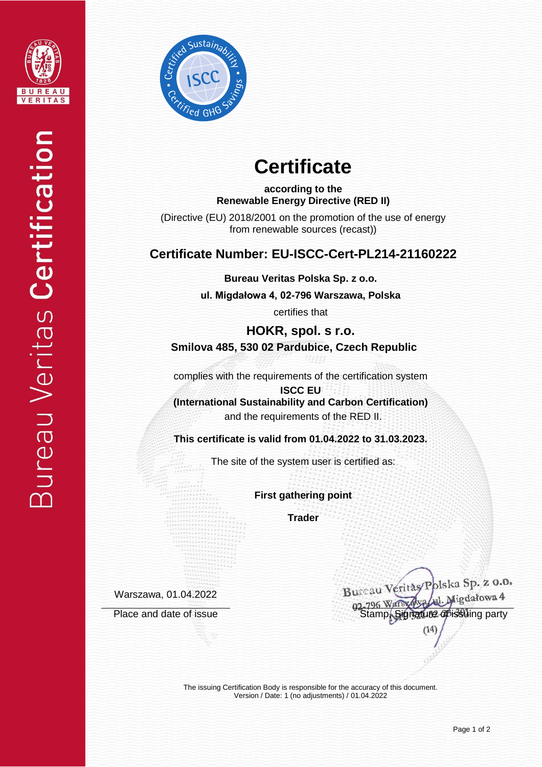



# **Certificate**

**according to the Renewable Energy Directive (RED II)**

(Directive (EU) 2018/2001 on the promotion of the use of energy from renewable sources (recast))

## **Certificate Number: EU-ISCC-Cert-PL214-21160222**

**Bureau Veritas Polska Sp. z o.o.**

**ul. Migdałowa 4, 02-796 Warszawa, Polska** 

certifies that

**HOKR, spol. s r.o. Smilova 485, 530 02 Pardubice, Czech Republic**

complies with the requirements of the certification system

**ISCC EU (International Sustainability and Carbon Certification)** and the requirements of the RED II.

**This certificate is valid from 01.04.2022 to 31.03.2023.**

The site of the system user is certified as:

**First gathering point**

**Trader**

Warszawa, 01.04.2022

Bureau Veritas/Polska Sp. z 0.0. Place and date of issue<br>Place and date of issue<br>Stamp, Signature of issue<br>Stamp, Signature of issue  $(14)$ 

The issuing Certification Body is responsible for the accuracy of this document. Version / Date: 1 (no adjustments) / 01.04.2022